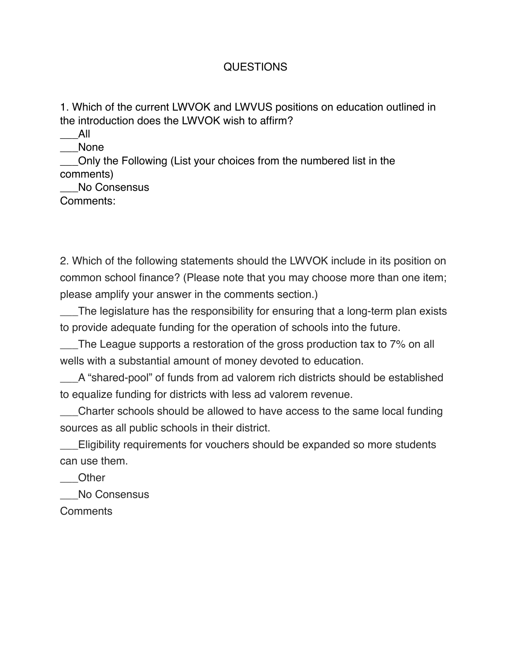## QUESTIONS

1. Which of the current LWVOK and LWVUS positions on education outlined in the introduction does the LWVOK wish to affirm?

\_\_\_All \_\_\_None

\_\_\_Only the Following (List your choices from the numbered list in the comments)

No Consensus

Comments:

2. Which of the following statements should the LWVOK include in its position on common school finance? (Please note that you may choose more than one item; please amplify your answer in the comments section.)

\_\_\_The legislature has the responsibility for ensuring that a long-term plan exists to provide adequate funding for the operation of schools into the future.

\_\_\_The League supports a restoration of the gross production tax to 7% on all wells with a substantial amount of money devoted to education.

\_\_\_A "shared-pool" of funds from ad valorem rich districts should be established to equalize funding for districts with less ad valorem revenue.

\_\_\_Charter schools should be allowed to have access to the same local funding sources as all public schools in their district.

\_\_\_Eligibility requirements for vouchers should be expanded so more students can use them.

\_\_\_Other

No Consensus

Comments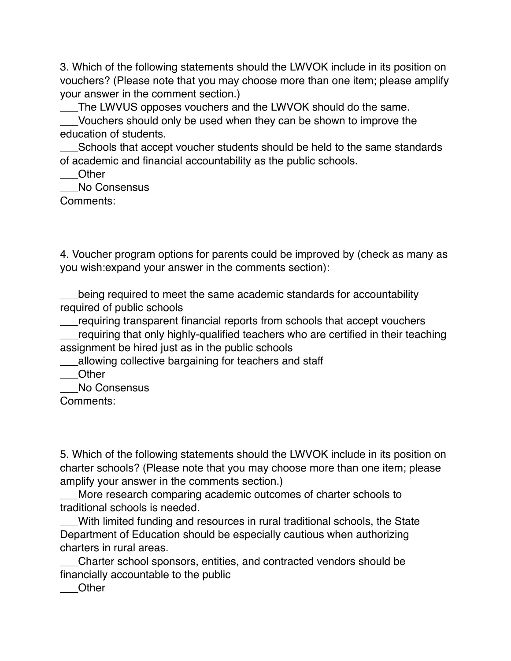3. Which of the following statements should the LWVOK include in its position on vouchers? (Please note that you may choose more than one item; please amplify your answer in the comment section.)

The LWVUS opposes vouchers and the LWVOK should do the same.

\_\_\_Vouchers should only be used when they can be shown to improve the education of students.

\_\_\_Schools that accept voucher students should be held to the same standards of academic and financial accountability as the public schools.

\_\_\_Other

No Consensus

Comments:

4. Voucher program options for parents could be improved by (check as many as you wish:expand your answer in the comments section):

being required to meet the same academic standards for accountability required of public schools

\_\_\_requiring transparent financial reports from schools that accept vouchers

\_\_\_requiring that only highly-qualified teachers who are certified in their teaching assignment be hired just as in the public schools

\_\_\_allowing collective bargaining for teachers and staff

\_\_\_Other

\_\_\_No Consensus

Comments:

5. Which of the following statements should the LWVOK include in its position on charter schools? (Please note that you may choose more than one item; please amplify your answer in the comments section.)

\_\_\_More research comparing academic outcomes of charter schools to traditional schools is needed.

\_\_\_With limited funding and resources in rural traditional schools, the State Department of Education should be especially cautious when authorizing charters in rural areas.

\_\_\_Charter school sponsors, entities, and contracted vendors should be financially accountable to the public

\_\_\_Other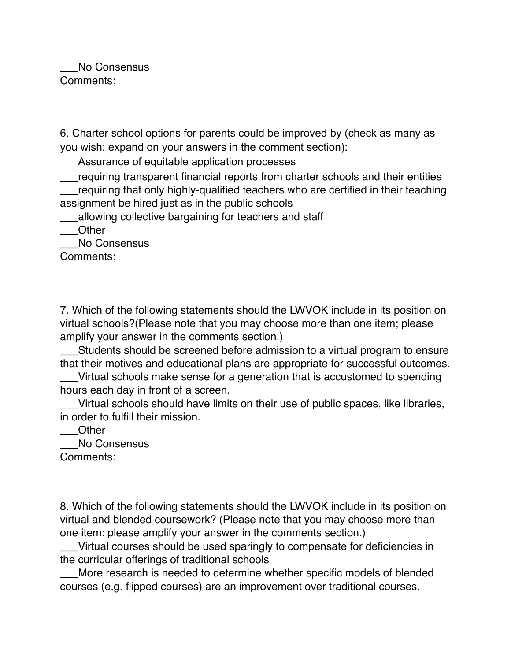No Consensus Comments:

6. Charter school options for parents could be improved by (check as many as you wish; expand on your answers in the comment section):

Assurance of equitable application processes

requiring transparent financial reports from charter schools and their entities requiring that only highly-qualified teachers who are certified in their teaching assignment be hired just as in the public schools

\_\_\_allowing collective bargaining for teachers and staff

\_\_\_Other

No Consensus

Comments:

7. Which of the following statements should the LWVOK include in its position on virtual schools?(Please note that you may choose more than one item; please amplify your answer in the comments section.)

\_\_\_Students should be screened before admission to a virtual program to ensure that their motives and educational plans are appropriate for successful outcomes.

\_\_\_Virtual schools make sense for a generation that is accustomed to spending hours each day in front of a screen.

\_\_\_Virtual schools should have limits on their use of public spaces, like libraries, in order to fulfill their mission.

\_\_\_Other

\_\_\_No Consensus

Comments:

8. Which of the following statements should the LWVOK include in its position on virtual and blended coursework? (Please note that you may choose more than one item: please amplify your answer in the comments section.)

\_\_\_Virtual courses should be used sparingly to compensate for deficiencies in the curricular offerings of traditional schools

\_\_\_More research is needed to determine whether specific models of blended courses (e.g. flipped courses) are an improvement over traditional courses.